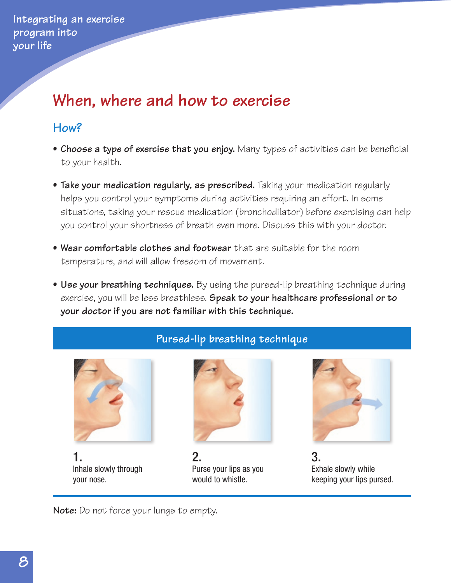**Integrating an exercise program into your life**

## **When, where and how to exercise**

## **How?**

- **• Choose a type of exercise that you enjoy.** Many types of activities can be beneficial to your health.
- **• Take your medication regularly, as prescribed.** Taking your medication regularly helps you control your symptoms during activities requiring an effort. In some situations, taking your rescue medication (bronchodilator) before exercising can help you control your shortness of breath even more. Discuss this with your doctor.
- **• Wear comfortable clothes and footwear** that are suitable for the room temperature, and will allow freedom of movement.
- **• Use your breathing techniques.** By using the pursed-lip breathing technique during exercise, you will be less breathless. **Speak to your healthcare professional or to your doctor if you are not familiar with this technique.**

**Pursed-lip breathing technique**



1. Inhale slowly through your nose.



2. Purse your lips as you would to whistle.



3. Exhale slowly while keeping your lips pursed.

**Note:** Do not force your lungs to empty.